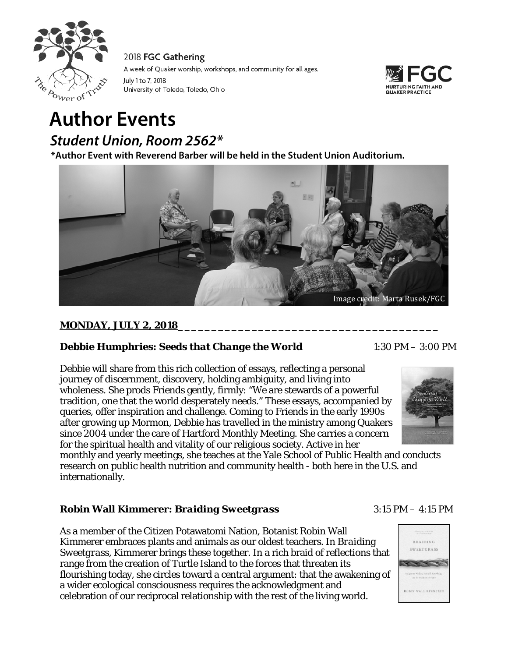



# **Author Events**

*Student Union, Room 2562\**

 **\*Author Event with Reverend Barber will be held in the Student Union Auditorium.**



# **MONDAY, JULY 2, 2018\_\_\_\_\_\_\_\_\_\_\_\_\_\_\_\_\_\_\_\_\_\_\_\_\_\_\_\_\_\_\_\_\_\_\_\_\_\_\_**

# **Debbie Humphries: Seeds that Change the World** 1:30 PM – 3:00 PM

Debbie will share from this rich collection of essays, reflecting a personal journey of discernment, discovery, holding ambiguity, and living into wholeness. She prods Friends gently, firmly: "We are stewards of a powerful tradition, one that the world desperately needs." These essays, accompanied by queries, offer inspiration and challenge. Coming to Friends in the early 1990s after growing up Mormon, Debbie has travelled in the ministry among Quakers since 2004 under the care of Hartford Monthly Meeting. She carries a concern for the spiritual health and vitality of our religious society. Active in her

monthly and yearly meetings, she teaches at the Yale School of Public Health and conducts research on public health nutrition and community health - both here in the U.S. and internationally.

# **Robin Wall Kimmerer:** *Braiding Sweetgrass* 3:15 PM – 4:15 PM

As a member of the Citizen Potawatomi Nation, Botanist Robin Wall Kimmerer embraces plants and animals as our oldest teachers. In *Braiding Sweetgrass*, Kimmerer brings these together. In a rich braid of reflections that range from the creation of Turtle Island to the forces that threaten its flourishing today, she circles toward a central argument: that the awakening of a wider ecological consciousness requires the acknowledgment and celebration of our reciprocal relationship with the rest of the living world.



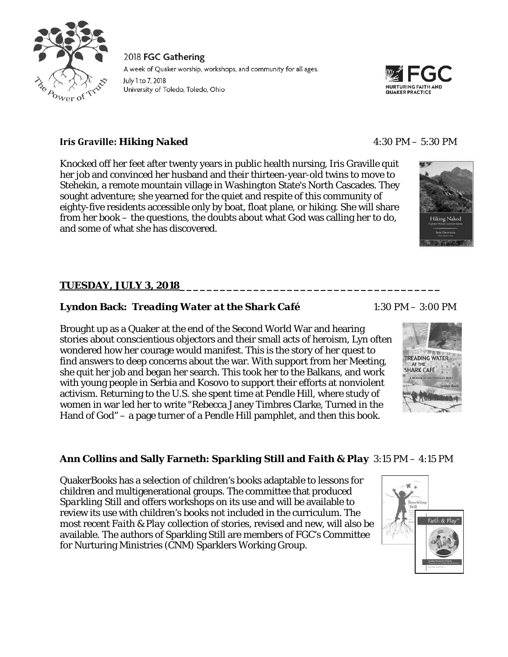



# **Iris Graville:** *Hiking Naked* 4:30 PM – 5:30 PM

Knocked off her feet after twenty years in public health nursing, Iris Graville quit her job and convinced her husband and their thirteen-year-old twins to move to Stehekin, a remote mountain village in Washington State's North Cascades. They sought adventure; she yearned for the quiet and respite of this community of eighty-five residents accessible only by boat, float plane, or hiking. She will share from her book – the questions, the doubts about what God was calling her to do, and some of what she has discovered.

# **TUESDAY, JULY 3, 2018\_\_\_\_\_\_\_\_\_\_\_\_\_\_\_\_\_\_\_\_\_\_\_\_\_\_\_\_\_\_\_\_\_\_\_\_\_\_\_**

## **Lyndon Back:** *Treading Water at the Shark Café* 1:30 PM – 3:00 PM

Brought up as a Quaker at the end of the Second World War and hearing stories about conscientious objectors and their small acts of heroism, Lyn often wondered how her courage would manifest. This is the story of her quest to find answers to deep concerns about the war. With support from her Meeting, she quit her job and began her search. This took her to the Balkans, and work with young people in Serbia and Kosovo to support their efforts at nonviolent activism. Returning to the U.S. she spent time at Pendle Hill, where study of women in war led her to write "Rebecca Janey Timbres Clarke, Turned in the Hand of God" – a page turner of a Pendle Hill pamphlet, and then this book.



#### **Ann Collins and Sally Farneth:** *Sparkling Still* **and** *Faith & Play* 3:15 PM – 4:15 PM

QuakerBooks has a selection of children's books adaptable to lessons for children and multigenerational groups. The committee that produced *Sparkling Still* and offers workshops on its use and will be available to review its use with children's books not included in the curriculum. The most recent *Faith & Play* collection of stories, revised and new, will also be available. The authors of Sparkling Still are members of FGC's Committee for Nurturing Ministries (CNM) Sparklers Working Group.

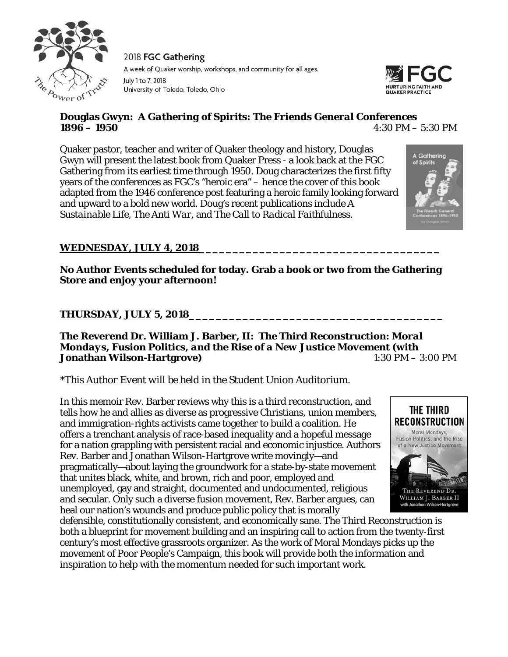



# **Douglas Gwyn:** *A Gathering of Spirits: The Friends General Conferences 1896 – 1950* 4:30 PM – 5:30 PM

Quaker pastor, teacher and writer of Quaker theology and history, Douglas Gwyn will present the latest book from Quaker Press - a look back at the FGC Gathering from its earliest time through 1950. Doug characterizes the first fifty years of the conferences as FGC's "heroic era" – hence the cover of this book adapted from the 1946 conference post featuring a heroic family looking forward and upward to a bold new world. Doug's recent publications include *A Sustainable Life*, *The Anti War*, and *The Call to Radical Faithfulness*.



# **WEDNESDAY, JULY 4, 2018\_\_\_\_\_\_\_\_\_\_\_\_\_\_\_\_\_\_\_\_\_\_\_\_\_\_\_\_\_\_\_\_\_\_\_\_**

**No Author Events scheduled for today. Grab a book or two from the Gathering Store and enjoy your afternoon!**

## **THURSDAY, JULY 5, 2018\_\_\_\_\_\_\_\_\_\_\_\_\_\_\_\_\_\_\_\_\_\_\_\_\_\_\_\_\_\_\_\_\_\_\_\_\_\_**

#### **The Reverend Dr. William J. Barber, II:** *The Third Reconstruction: Moral Mondays, Fusion Politics, and the Rise of a New Justice Movement* **(with Jonathan Wilson-Hartgrove)** 1:30 PM – 3:00 PM

#### *\*This Author Event will be held in the Student Union Auditorium.*

In this memoir Rev. Barber reviews why this is a third reconstruction, and tells how he and allies as diverse as progressive Christians, union members, and immigration-rights activists came together to build a coalition. He offers a trenchant analysis of race-based inequality and a hopeful message for a nation grappling with persistent racial and economic injustice. Authors Rev. Barber and Jonathan Wilson-Hartgrove write movingly—and pragmatically—about laying the groundwork for a state-by-state movement that unites black, white, and brown, rich and poor, employed and unemployed, gay and straight, documented and undocumented, religious and secular. Only such a diverse fusion movement, Rev. Barber argues, can heal our nation's wounds and produce public policy that is morally



defensible, constitutionally consistent, and economically sane. The Third Reconstruction is both a blueprint for movement building and an inspiring call to action from the twenty-first century's most effective grassroots organizer. As the work of Moral Mondays picks up the movement of Poor People's Campaign, this book will provide both the information and inspiration to help with the momentum needed for such important work.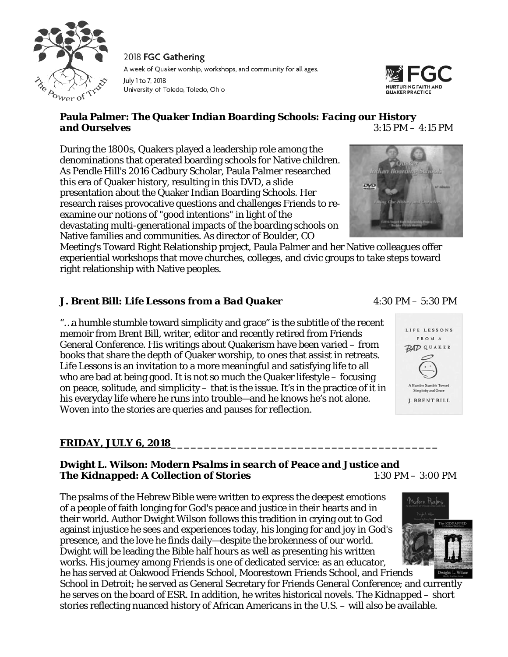



# **Paula Palmer:** *The Quaker Indian Boarding Schools: Facing our History and Ourselves* 3:15 PM – 4:15 PM

During the 1800s, Quakers played a leadership role among the denominations that operated boarding schools for Native children. As Pendle Hill's 2016 Cadbury Scholar, Paula Palmer researched this era of Quaker history, resulting in this DVD, a slide presentation about the Quaker Indian Boarding Schools. Her research raises provocative questions and challenges Friends to reexamine our notions of "good intentions" in light of the devastating multi-generational impacts of the boarding schools on

Native families and communities. As director of Boulder, CO Meeting's Toward Right Relationship project, Paula Palmer and her Native colleagues offer experiential workshops that move churches, colleges, and civic groups to take steps toward right relationship with Native peoples.

# **J. Brent Bill:** *Life Lessons from a Bad Quaker* 4:30 PM – 5:30 PM

"…a humble stumble toward simplicity and grace" is the subtitle of the recent memoir from Brent Bill, writer, editor and recently retired from Friends General Conference. His writings about Quakerism have been varied – from books that share the depth of Quaker worship, to ones that assist in retreats. *Life Lessons* is an invitation to a more meaningful and satisfying life to all who are bad at being good. It is not so much the Quaker lifestyle – focusing on peace, solitude, and simplicity – that is the issue. It's in the practice of it in his everyday life where he runs into trouble—and he knows he's not alone. Woven into the stories are queries and pauses for reflection.

# **FRIDAY, JULY 6, 2018\_\_\_\_\_\_\_\_\_\_\_\_\_\_\_\_\_\_\_\_\_\_\_\_\_\_\_\_\_\_\_\_\_\_\_\_\_\_\_\_**

## **Dwight L. Wilson:** *Modern Psalms in search of Peace and Justice* **and The** *Kidnapped: A Collection of Stories* 1:30 PM – 3:00 PM

The psalms of the Hebrew Bible were written to express the deepest emotions of a people of faith longing for God's peace and justice in their hearts and in their world. Author Dwight Wilson follows this tradition in crying out to God against injustice he sees and experiences today, his longing for and joy in God's presence, and the love he finds daily—despite the brokenness of our world. Dwight will be leading the Bible half hours as well as presenting his written works. His journey among Friends is one of dedicated service: as an educator,



he has served at Oakwood Friends School, Moorestown Friends School, and Friends School in Detroit; he served as General Secretary for Friends General Conference; and currently he serves on the board of ESR. In addition, he writes historical novels. *The Kidnapped* – short stories reflecting nuanced history of African Americans in the U.S. – will also be available.